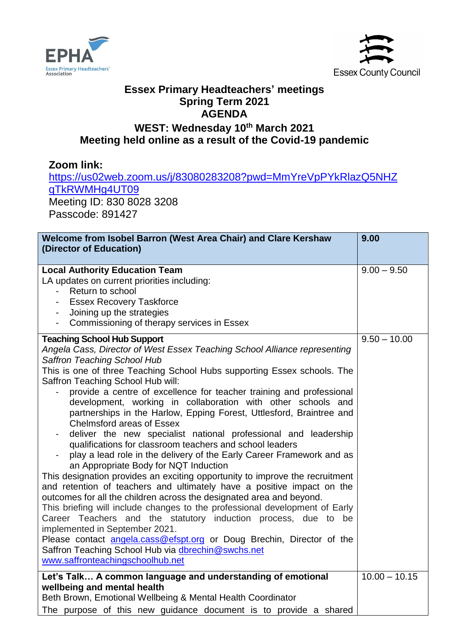



## **Essex Primary Headteachers' meetings Spring Term 2021 AGENDA**

## **WEST: Wednesday 10 th March 2021 Meeting held online as a result of the Covid-19 pandemic**

## **Zoom link:**

[https://us02web.zoom.us/j/83080283208?pwd=MmYreVpPYkRlazQ5NHZ](https://us02web.zoom.us/j/83080283208?pwd=MmYreVpPYkRlazQ5NHZqTkRWMHg4UT09) [qTkRWMHg4UT09](https://us02web.zoom.us/j/83080283208?pwd=MmYreVpPYkRlazQ5NHZqTkRWMHg4UT09)

Meeting ID: 830 8028 3208 Passcode: 891427

| Welcome from Isobel Barron (West Area Chair) and Clare Kershaw<br>(Director of Education)                                                                                                                                                                                                                                                                                                                                                                                                                                                                                                                                                                                                                                                                                                                                                                                                                                                                                                                                                                                                                                                                                                                                                                                                                                                                   | 9.00            |
|-------------------------------------------------------------------------------------------------------------------------------------------------------------------------------------------------------------------------------------------------------------------------------------------------------------------------------------------------------------------------------------------------------------------------------------------------------------------------------------------------------------------------------------------------------------------------------------------------------------------------------------------------------------------------------------------------------------------------------------------------------------------------------------------------------------------------------------------------------------------------------------------------------------------------------------------------------------------------------------------------------------------------------------------------------------------------------------------------------------------------------------------------------------------------------------------------------------------------------------------------------------------------------------------------------------------------------------------------------------|-----------------|
| <b>Local Authority Education Team</b><br>LA updates on current priorities including:<br>Return to school<br><b>Essex Recovery Taskforce</b><br>Joining up the strategies<br>$\blacksquare$<br>Commissioning of therapy services in Essex<br>$\overline{\phantom{a}}$                                                                                                                                                                                                                                                                                                                                                                                                                                                                                                                                                                                                                                                                                                                                                                                                                                                                                                                                                                                                                                                                                        | $9.00 - 9.50$   |
| <b>Teaching School Hub Support</b><br>Angela Cass, Director of West Essex Teaching School Alliance representing<br>Saffron Teaching School Hub<br>This is one of three Teaching School Hubs supporting Essex schools. The<br>Saffron Teaching School Hub will:<br>provide a centre of excellence for teacher training and professional<br>development, working in collaboration with other schools and<br>partnerships in the Harlow, Epping Forest, Uttlesford, Braintree and<br><b>Chelmsford areas of Essex</b><br>deliver the new specialist national professional and leadership<br>qualifications for classroom teachers and school leaders<br>play a lead role in the delivery of the Early Career Framework and as<br>an Appropriate Body for NQT Induction<br>This designation provides an exciting opportunity to improve the recruitment<br>and retention of teachers and ultimately have a positive impact on the<br>outcomes for all the children across the designated area and beyond.<br>This briefing will include changes to the professional development of Early<br>Career Teachers and the statutory induction process, due to be<br>implemented in September 2021.<br>Please contact angela.cass@efspt.org or Doug Brechin, Director of the<br>Saffron Teaching School Hub via dbrechin@swchs.net<br>www.saffronteachingschoolhub.net | $9.50 - 10.00$  |
| Let's Talk A common language and understanding of emotional<br>wellbeing and mental health<br>Beth Brown, Emotional Wellbeing & Mental Health Coordinator<br>The purpose of this new guidance document is to provide a shared                                                                                                                                                                                                                                                                                                                                                                                                                                                                                                                                                                                                                                                                                                                                                                                                                                                                                                                                                                                                                                                                                                                               | $10.00 - 10.15$ |